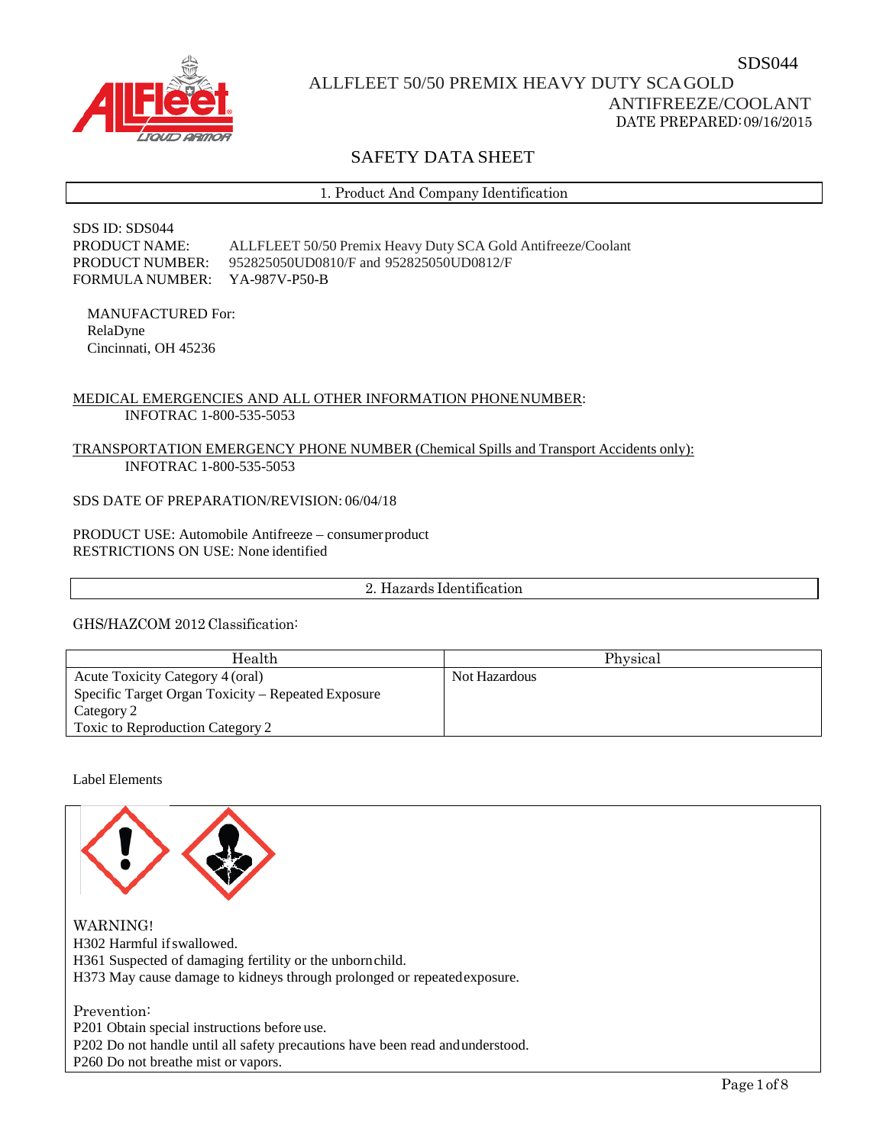

# ALLFLEET 50/50 PREMIX HEAVY DUTY SCAGOLD

# ANTIFREEZE/COOLANT DATE PREPARED:09/16/2015

SDS044

# SAFETY DATA SHEET

1. Product And Company Identification

SDS ID: SDS044 PRODUCT NAME: ALLFLEET 50/50 Premix Heavy Duty SCA Gold Antifreeze/Coolant PRODUCT NUMBER: 952825050UD0810/F and 952825050UD0812/F FORMULA NUMBER: YA-987V-P50-B

MANUFACTURED For: RelaDyne Cincinnati, OH 45236

## MEDICAL EMERGENCIES AND ALL OTHER INFORMATION PHONENUMBER: INFOTRAC 1-800-535-5053

### TRANSPORTATION EMERGENCY PHONE NUMBER (Chemical Spills and Transport Accidents only): INFOTRAC 1-800-535-5053

SDS DATE OF PREPARATION/REVISION: 06/04/18

PRODUCT USE: Automobile Antifreeze – consumer product RESTRICTIONS ON USE: None identified

2. Hazards Identification

GHS/HAZCOM 2012 Classification:

| Health                                             | Physical      |
|----------------------------------------------------|---------------|
| Acute Toxicity Category 4 (oral)                   | Not Hazardous |
| Specific Target Organ Toxicity – Repeated Exposure |               |
| Category 2                                         |               |
| Toxic to Reproduction Category 2                   |               |

### Label Elements

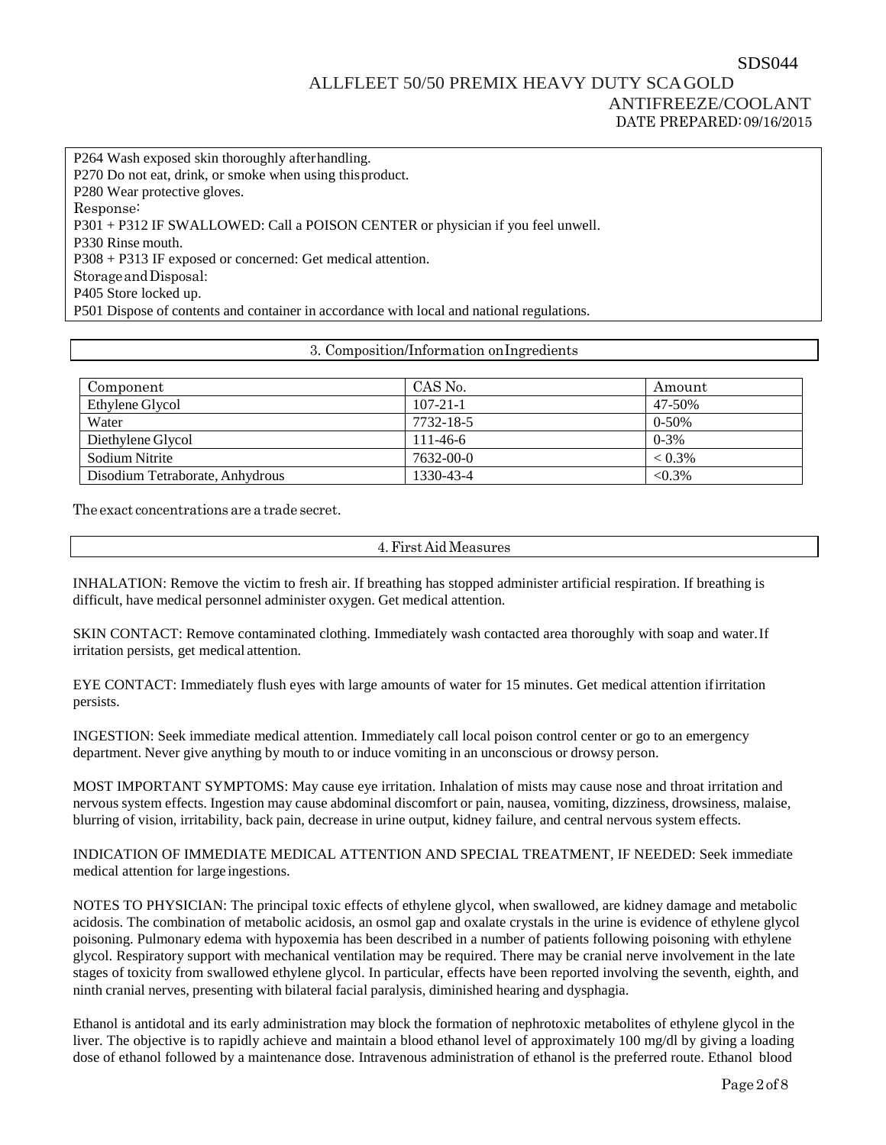# ALLFLEET 50/50 PREMIX HEAVY DUTY SCAGOLD ANTIFREEZE/COOLANT DATE PREPARED:09/16/2015

P264 Wash exposed skin thoroughly afterhandling. P270 Do not eat, drink, or smoke when using thisproduct. P280 Wear protective gloves. Response: P301 + P312 IF SWALLOWED: Call a POISON CENTER or physician if you feel unwell. P330 Rinse mouth. P308 + P313 IF exposed or concerned: Get medical attention. StorageandDisposal: P405 Store locked up. P501 Dispose of contents and container in accordance with local and national regulations.

#### 3. Composition/Information onIngredients

| Component                       | CAS No.        | Amount    |
|---------------------------------|----------------|-----------|
| Ethylene Glycol                 | $107 - 21 - 1$ | 47-50%    |
| Water                           | 7732-18-5      | $0-50%$   |
| Diethylene Glycol               | $111 - 46 - 6$ | $0 - 3%$  |
| Sodium Nitrite                  | 7632-00-0      | $< 0.3\%$ |
| Disodium Tetraborate, Anhydrous | 1330-43-4      | $< 0.3\%$ |

The exact concentrations are a trade secret.

4.First Aid Measures

INHALATION: Remove the victim to fresh air. If breathing has stopped administer artificial respiration. If breathing is difficult, have medical personnel administer oxygen. Get medical attention.

SKIN CONTACT: Remove contaminated clothing. Immediately wash contacted area thoroughly with soap and water.If irritation persists, get medical attention.

EYE CONTACT: Immediately flush eyes with large amounts of water for 15 minutes. Get medical attention ifirritation persists.

INGESTION: Seek immediate medical attention. Immediately call local poison control center or go to an emergency department. Never give anything by mouth to or induce vomiting in an unconscious or drowsy person.

MOST IMPORTANT SYMPTOMS: May cause eye irritation. Inhalation of mists may cause nose and throat irritation and nervous system effects. Ingestion may cause abdominal discomfort or pain, nausea, vomiting, dizziness, drowsiness, malaise, blurring of vision, irritability, back pain, decrease in urine output, kidney failure, and central nervous system effects.

INDICATION OF IMMEDIATE MEDICAL ATTENTION AND SPECIAL TREATMENT, IF NEEDED: Seek immediate medical attention for large ingestions.

NOTES TO PHYSICIAN: The principal toxic effects of ethylene glycol, when swallowed, are kidney damage and metabolic acidosis. The combination of metabolic acidosis, an osmol gap and oxalate crystals in the urine is evidence of ethylene glycol poisoning. Pulmonary edema with hypoxemia has been described in a number of patients following poisoning with ethylene glycol. Respiratory support with mechanical ventilation may be required. There may be cranial nerve involvement in the late stages of toxicity from swallowed ethylene glycol. In particular, effects have been reported involving the seventh, eighth, and ninth cranial nerves, presenting with bilateral facial paralysis, diminished hearing and dysphagia.

Ethanol is antidotal and its early administration may block the formation of nephrotoxic metabolites of ethylene glycol in the liver. The objective is to rapidly achieve and maintain a blood ethanol level of approximately 100 mg/dl by giving a loading dose of ethanol followed by a maintenance dose. Intravenous administration of ethanol is the preferred route. Ethanol blood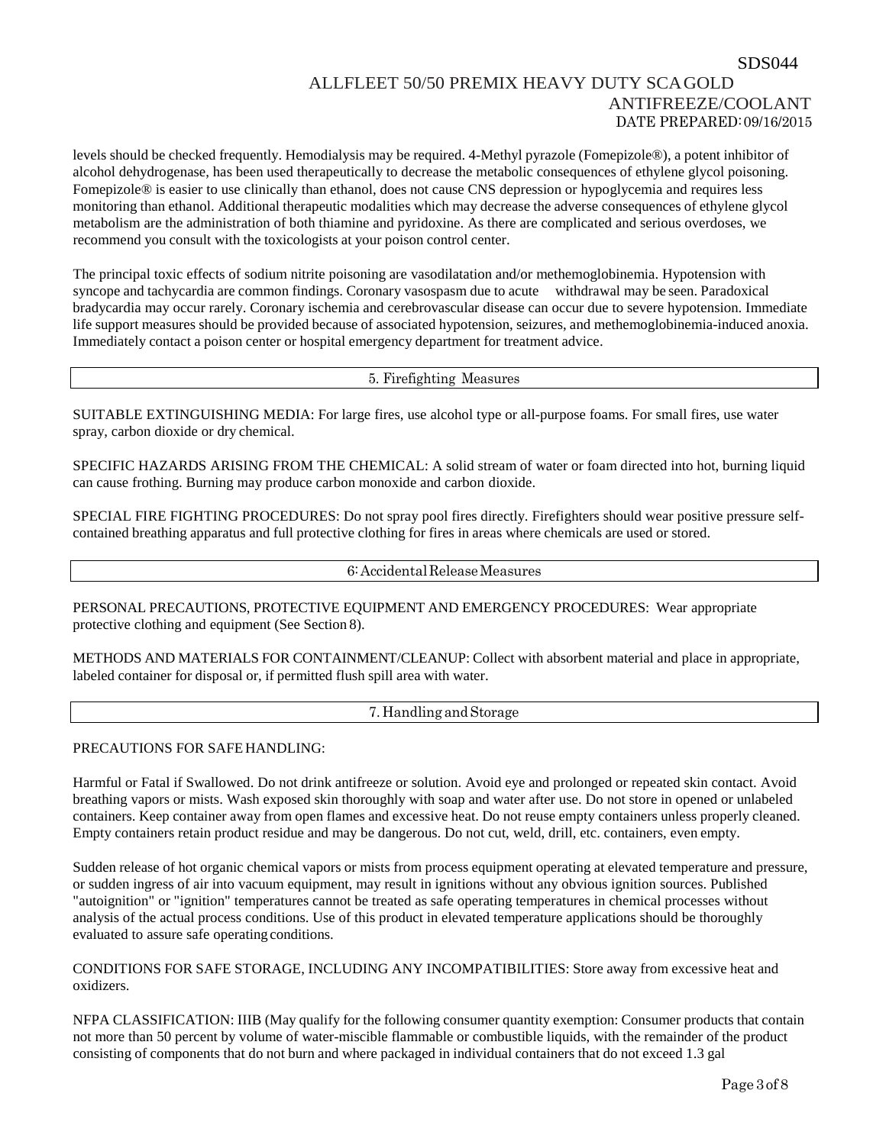levels should be checked frequently. Hemodialysis may be required. 4-Methyl pyrazole (Fomepizole®), a potent inhibitor of alcohol dehydrogenase, has been used therapeutically to decrease the metabolic consequences of ethylene glycol poisoning. Fomepizole® is easier to use clinically than ethanol, does not cause CNS depression or hypoglycemia and requires less monitoring than ethanol. Additional therapeutic modalities which may decrease the adverse consequences of ethylene glycol metabolism are the administration of both thiamine and pyridoxine. As there are complicated and serious overdoses, we recommend you consult with the toxicologists at your poison control center.

The principal toxic effects of sodium nitrite poisoning are vasodilatation and/or methemoglobinemia. Hypotension with syncope and tachycardia are common findings. Coronary vasospasm due to acute withdrawal may be seen. Paradoxical bradycardia may occur rarely. Coronary ischemia and cerebrovascular disease can occur due to severe hypotension. Immediate life support measures should be provided because of associated hypotension, seizures, and methemoglobinemia-induced anoxia. Immediately contact a poison center or hospital emergency department for treatment advice.

#### 5. Firefighting Measures

SUITABLE EXTINGUISHING MEDIA: For large fires, use alcohol type or all-purpose foams. For small fires, use water spray, carbon dioxide or dry chemical.

SPECIFIC HAZARDS ARISING FROM THE CHEMICAL: A solid stream of water or foam directed into hot, burning liquid can cause frothing. Burning may produce carbon monoxide and carbon dioxide.

SPECIAL FIRE FIGHTING PROCEDURES: Do not spray pool fires directly. Firefighters should wear positive pressure selfcontained breathing apparatus and full protective clothing for fires in areas where chemicals are used or stored.

### 6:AccidentalReleaseMeasures

PERSONAL PRECAUTIONS, PROTECTIVE EQUIPMENT AND EMERGENCY PROCEDURES: Wear appropriate protective clothing and equipment (See Section 8).

METHODS AND MATERIALS FOR CONTAINMENT/CLEANUP: Collect with absorbent material and place in appropriate, labeled container for disposal or, if permitted flush spill area with water.

#### 7. Handling and Storage

### PRECAUTIONS FOR SAFE HANDLING:

Harmful or Fatal if Swallowed. Do not drink antifreeze or solution. Avoid eye and prolonged or repeated skin contact. Avoid breathing vapors or mists. Wash exposed skin thoroughly with soap and water after use. Do not store in opened or unlabeled containers. Keep container away from open flames and excessive heat. Do not reuse empty containers unless properly cleaned. Empty containers retain product residue and may be dangerous. Do not cut, weld, drill, etc. containers, even empty.

Sudden release of hot organic chemical vapors or mists from process equipment operating at elevated temperature and pressure, or sudden ingress of air into vacuum equipment, may result in ignitions without any obvious ignition sources. Published "autoignition" or "ignition" temperatures cannot be treated as safe operating temperatures in chemical processes without analysis of the actual process conditions. Use of this product in elevated temperature applications should be thoroughly evaluated to assure safe operating conditions.

### CONDITIONS FOR SAFE STORAGE, INCLUDING ANY INCOMPATIBILITIES: Store away from excessive heat and oxidizers.

NFPA CLASSIFICATION: IIIB (May qualify for the following consumer quantity exemption: Consumer products that contain not more than 50 percent by volume of water-miscible flammable or combustible liquids, with the remainder of the product consisting of components that do not burn and where packaged in individual containers that do not exceed 1.3 gal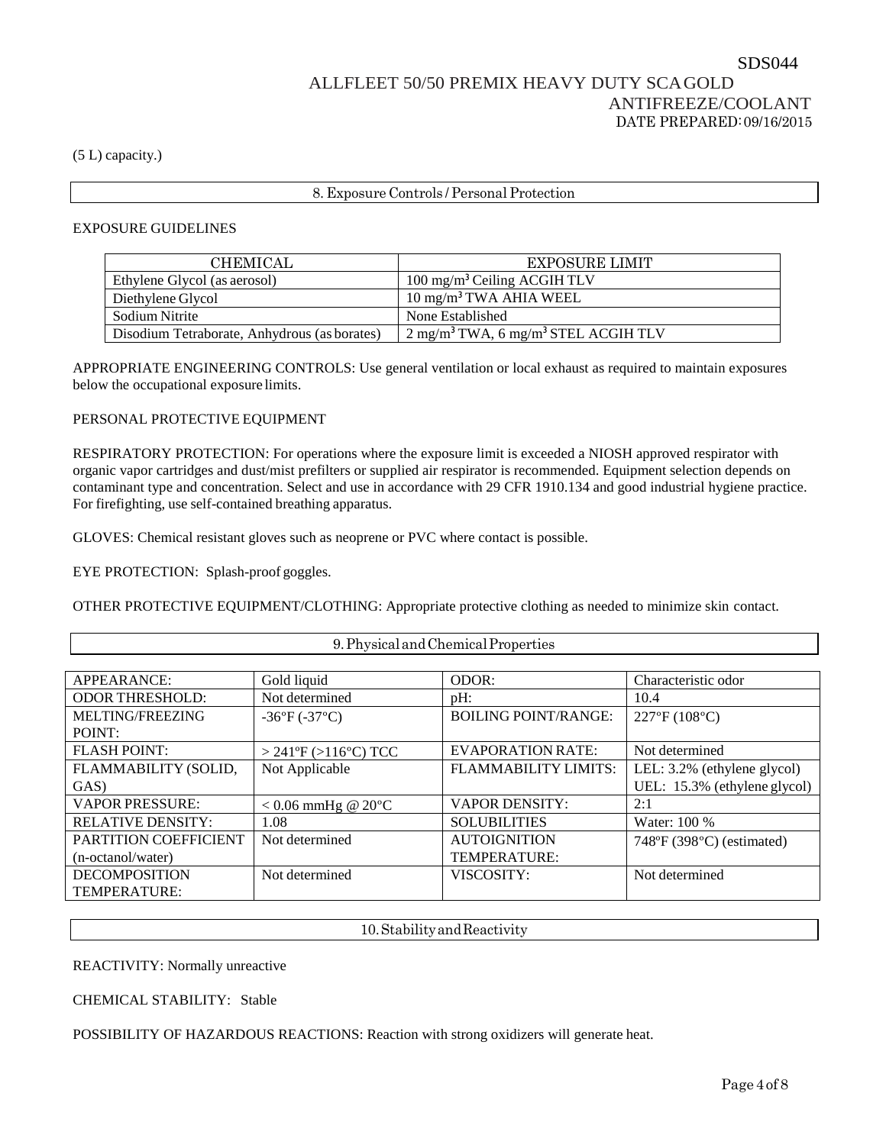(5 L) capacity.)

## 8. Exposure Controls / Personal Protection

### EXPOSURE GUIDELINES

| <b>CHEMICAL</b>                              | <b>EXPOSURE LIMIT</b>                                         |
|----------------------------------------------|---------------------------------------------------------------|
| Ethylene Glycol (as aerosol)                 | 100 mg/m <sup>3</sup> Ceiling ACGIH TLV                       |
| Diethylene Glycol                            | $10 \text{ mg/m}^3$ TWA AHIA WEEL                             |
| Sodium Nitrite                               | None Established                                              |
| Disodium Tetraborate, Anhydrous (as borates) | $2$ mg/m <sup>3</sup> TWA, 6 mg/m <sup>3</sup> STEL ACGIH TLV |

APPROPRIATE ENGINEERING CONTROLS: Use general ventilation or local exhaust as required to maintain exposures below the occupational exposure limits.

### PERSONAL PROTECTIVE EQUIPMENT

RESPIRATORY PROTECTION: For operations where the exposure limit is exceeded a NIOSH approved respirator with organic vapor cartridges and dust/mist prefilters or supplied air respirator is recommended. Equipment selection depends on contaminant type and concentration. Select and use in accordance with 29 CFR 1910.134 and good industrial hygiene practice. For firefighting, use self-contained breathing apparatus.

GLOVES: Chemical resistant gloves such as neoprene or PVC where contact is possible.

EYE PROTECTION: Splash-proof goggles.

OTHER PROTECTIVE EQUIPMENT/CLOTHING: Appropriate protective clothing as needed to minimize skin contact.

9.PhysicalandChemicalProperties

| <b>APPEARANCE:</b>           | Gold liquid                     | ODOR:                       | Characteristic odor                      |
|------------------------------|---------------------------------|-----------------------------|------------------------------------------|
| <b>ODOR THRESHOLD:</b>       | Not determined                  | $pH$ :                      | 10.4                                     |
| MELTING/FREEZING             | $-36^{\circ}F(-37^{\circ}C)$    | <b>BOILING POINT/RANGE:</b> | 227°F (108°C)                            |
| POINT:                       |                                 |                             |                                          |
| <b>FLASH POINT:</b>          | $>$ 241°F ( $>$ 116°C) TCC      | <b>EVAPORATION RATE:</b>    | Not determined                           |
| FLAMMABILITY (SOLID,         | Not Applicable                  | <b>FLAMMABILITY LIMITS:</b> | LEL: 3.2% (ethylene glycol)              |
| GAS)                         |                                 |                             | UEL: 15.3% (ethylene glycol)             |
| <b>VAPOR PRESSURE:</b>       | $< 0.06$ mmHg @ 20 $^{\circ}$ C | <b>VAPOR DENSITY:</b>       | 2:1                                      |
| <b>RELATIVE DENSITY:</b>     | 1.08                            | <b>SOLUBILITIES</b>         | Water: 100 %                             |
| <b>PARTITION COEFFICIENT</b> | Not determined                  | <b>AUTOIGNITION</b>         | $748^{\circ}F(398^{\circ}C)$ (estimated) |
| (n-octanol/water)            |                                 | <b>TEMPERATURE:</b>         |                                          |
| <b>DECOMPOSITION</b>         | Not determined                  | VISCOSITY:                  | Not determined                           |
| TEMPERATURE:                 |                                 |                             |                                          |

10.StabilityandReactivity

REACTIVITY: Normally unreactive

CHEMICAL STABILITY: Stable

POSSIBILITY OF HAZARDOUS REACTIONS: Reaction with strong oxidizers will generate heat.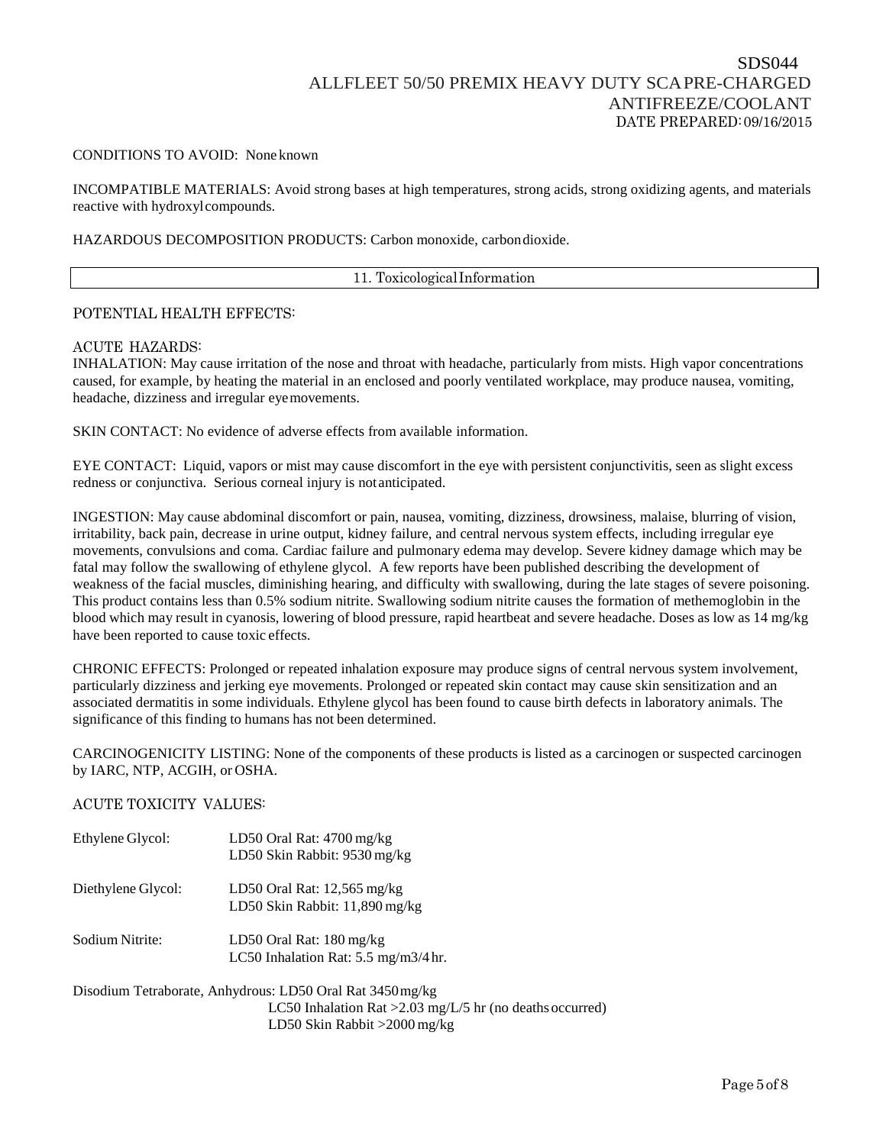### CONDITIONS TO AVOID: None known

INCOMPATIBLE MATERIALS: Avoid strong bases at high temperatures, strong acids, strong oxidizing agents, and materials reactive with hydroxylcompounds.

### HAZARDOUS DECOMPOSITION PRODUCTS: Carbon monoxide, carbondioxide.

11. ToxicologicalInformation

### POTENTIAL HEALTH EFFECTS:

#### ACUTE HAZARDS:

INHALATION: May cause irritation of the nose and throat with headache, particularly from mists. High vapor concentrations caused, for example, by heating the material in an enclosed and poorly ventilated workplace, may produce nausea, vomiting, headache, dizziness and irregular eyemovements.

SKIN CONTACT: No evidence of adverse effects from available information.

EYE CONTACT: Liquid, vapors or mist may cause discomfort in the eye with persistent conjunctivitis, seen as slight excess redness or conjunctiva. Serious corneal injury is notanticipated.

INGESTION: May cause abdominal discomfort or pain, nausea, vomiting, dizziness, drowsiness, malaise, blurring of vision, irritability, back pain, decrease in urine output, kidney failure, and central nervous system effects, including irregular eye movements, convulsions and coma. Cardiac failure and pulmonary edema may develop. Severe kidney damage which may be fatal may follow the swallowing of ethylene glycol. A few reports have been published describing the development of weakness of the facial muscles, diminishing hearing, and difficulty with swallowing, during the late stages of severe poisoning. This product contains less than 0.5% sodium nitrite. Swallowing sodium nitrite causes the formation of methemoglobin in the blood which may result in cyanosis, lowering of blood pressure, rapid heartbeat and severe headache. Doses as low as 14 mg/kg have been reported to cause toxic effects.

CHRONIC EFFECTS: Prolonged or repeated inhalation exposure may produce signs of central nervous system involvement, particularly dizziness and jerking eye movements. Prolonged or repeated skin contact may cause skin sensitization and an associated dermatitis in some individuals. Ethylene glycol has been found to cause birth defects in laboratory animals. The significance of this finding to humans has not been determined.

CARCINOGENICITY LISTING: None of the components of these products is listed as a carcinogen or suspected carcinogen by IARC, NTP, ACGIH, or OSHA.

### ACUTE TOXICITY VALUES:

| Ethylene Glycol:   | LD50 Oral Rat: $4700 \text{ mg/kg}$<br>LD50 Skin Rabbit: 9530 mg/kg                           |
|--------------------|-----------------------------------------------------------------------------------------------|
| Diethylene Glycol: | LD50 Oral Rat: $12,565$ mg/kg<br>LD50 Skin Rabbit: 11,890 mg/kg                               |
| Sodium Nitrite:    | LD50 Oral Rat: $180 \text{ mg/kg}$<br>LC50 Inhalation Rat: $5.5 \text{ mg/m}3/4 \text{ hr}$ . |

Disodium Tetraborate, Anhydrous: LD50 Oral Rat 3450mg/kg LC50 Inhalation Rat >2.03 mg/L/5 hr (no deaths occurred) LD50 Skin Rabbit >2000 mg/kg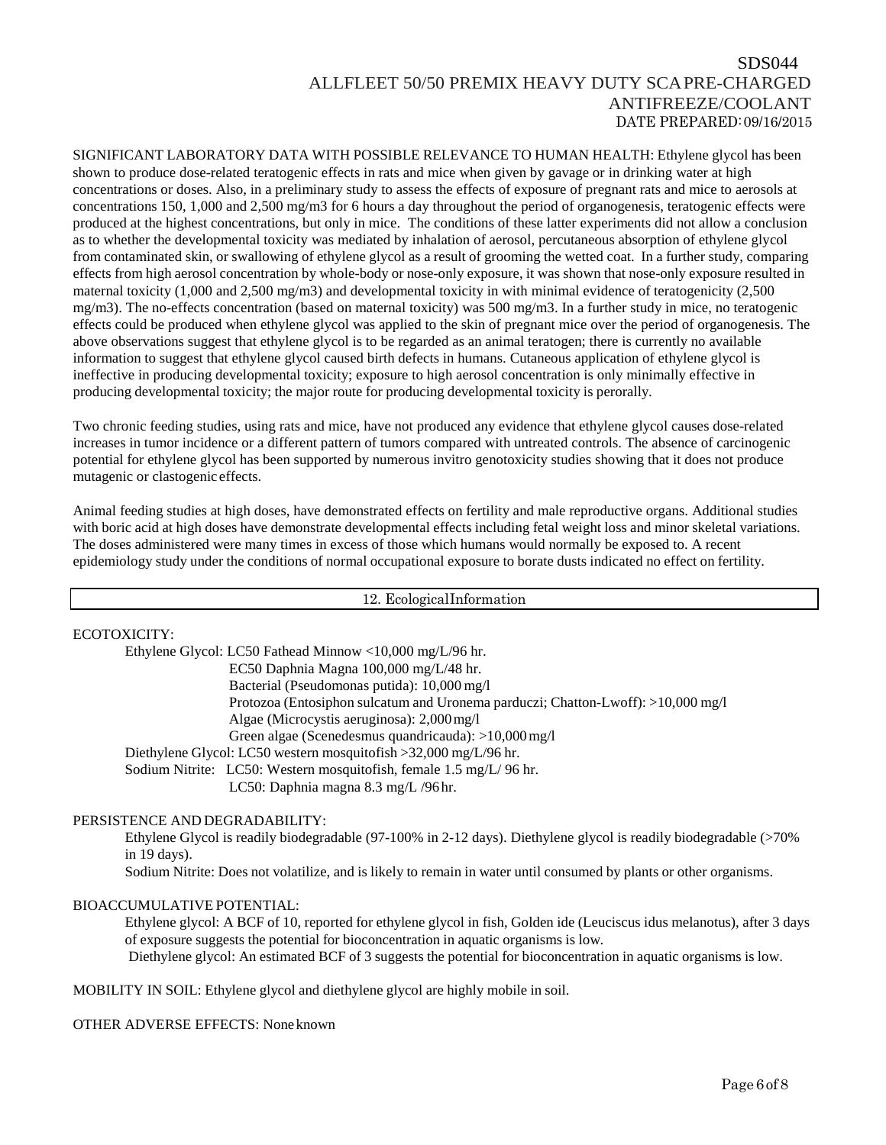SIGNIFICANT LABORATORY DATA WITH POSSIBLE RELEVANCE TO HUMAN HEALTH: Ethylene glycol has been shown to produce dose-related teratogenic effects in rats and mice when given by gavage or in drinking water at high concentrations or doses. Also, in a preliminary study to assess the effects of exposure of pregnant rats and mice to aerosols at concentrations 150, 1,000 and 2,500 mg/m3 for 6 hours a day throughout the period of organogenesis, teratogenic effects were produced at the highest concentrations, but only in mice. The conditions of these latter experiments did not allow a conclusion as to whether the developmental toxicity was mediated by inhalation of aerosol, percutaneous absorption of ethylene glycol from contaminated skin, or swallowing of ethylene glycol as a result of grooming the wetted coat. In a further study, comparing effects from high aerosol concentration by whole-body or nose-only exposure, it was shown that nose-only exposure resulted in maternal toxicity (1,000 and 2,500 mg/m3) and developmental toxicity in with minimal evidence of teratogenicity (2,500 mg/m3). The no-effects concentration (based on maternal toxicity) was 500 mg/m3. In a further study in mice, no teratogenic effects could be produced when ethylene glycol was applied to the skin of pregnant mice over the period of organogenesis. The above observations suggest that ethylene glycol is to be regarded as an animal teratogen; there is currently no available information to suggest that ethylene glycol caused birth defects in humans. Cutaneous application of ethylene glycol is ineffective in producing developmental toxicity; exposure to high aerosol concentration is only minimally effective in producing developmental toxicity; the major route for producing developmental toxicity is perorally.

Two chronic feeding studies, using rats and mice, have not produced any evidence that ethylene glycol causes dose-related increases in tumor incidence or a different pattern of tumors compared with untreated controls. The absence of carcinogenic potential for ethylene glycol has been supported by numerous invitro genotoxicity studies showing that it does not produce mutagenic or clastogenic effects.

Animal feeding studies at high doses, have demonstrated effects on fertility and male reproductive organs. Additional studies with boric acid at high doses have demonstrate developmental effects including fetal weight loss and minor skeletal variations. The doses administered were many times in excess of those which humans would normally be exposed to. A recent epidemiology study under the conditions of normal occupational exposure to borate dusts indicated no effect on fertility.

12. EcologicalInformation

### ECOTOXICITY:

Ethylene Glycol: LC50 Fathead Minnow <10,000 mg/L/96 hr. EC50 Daphnia Magna 100,000 mg/L/48 hr. Bacterial (Pseudomonas putida): 10,000 mg/l Protozoa (Entosiphon sulcatum and Uronema parduczi; Chatton-Lwoff): >10,000 mg/l Algae (Microcystis aeruginosa): 2,000mg/l Green algae (Scenedesmus quandricauda): >10,000mg/l Diethylene Glycol: LC50 western mosquitofish >32,000 mg/L/96 hr. Sodium Nitrite: LC50: Western mosquitofish, female 1.5 mg/L/ 96 hr. LC50: Daphnia magna 8.3 mg/L /96 hr.

### PERSISTENCE AND DEGRADABILITY:

Ethylene Glycol is readily biodegradable (97-100% in 2-12 days). Diethylene glycol is readily biodegradable (>70% in 19 days).

Sodium Nitrite: Does not volatilize, and is likely to remain in water until consumed by plants or other organisms.

### BIOACCUMULATIVE POTENTIAL:

Ethylene glycol: A BCF of 10, reported for ethylene glycol in fish, Golden ide (Leuciscus idus melanotus), after 3 days of exposure suggests the potential for bioconcentration in aquatic organisms is low. Diethylene glycol: An estimated BCF of 3 suggests the potential for bioconcentration in aquatic organisms is low.

MOBILITY IN SOIL: Ethylene glycol and diethylene glycol are highly mobile in soil.

OTHER ADVERSE EFFECTS: Noneknown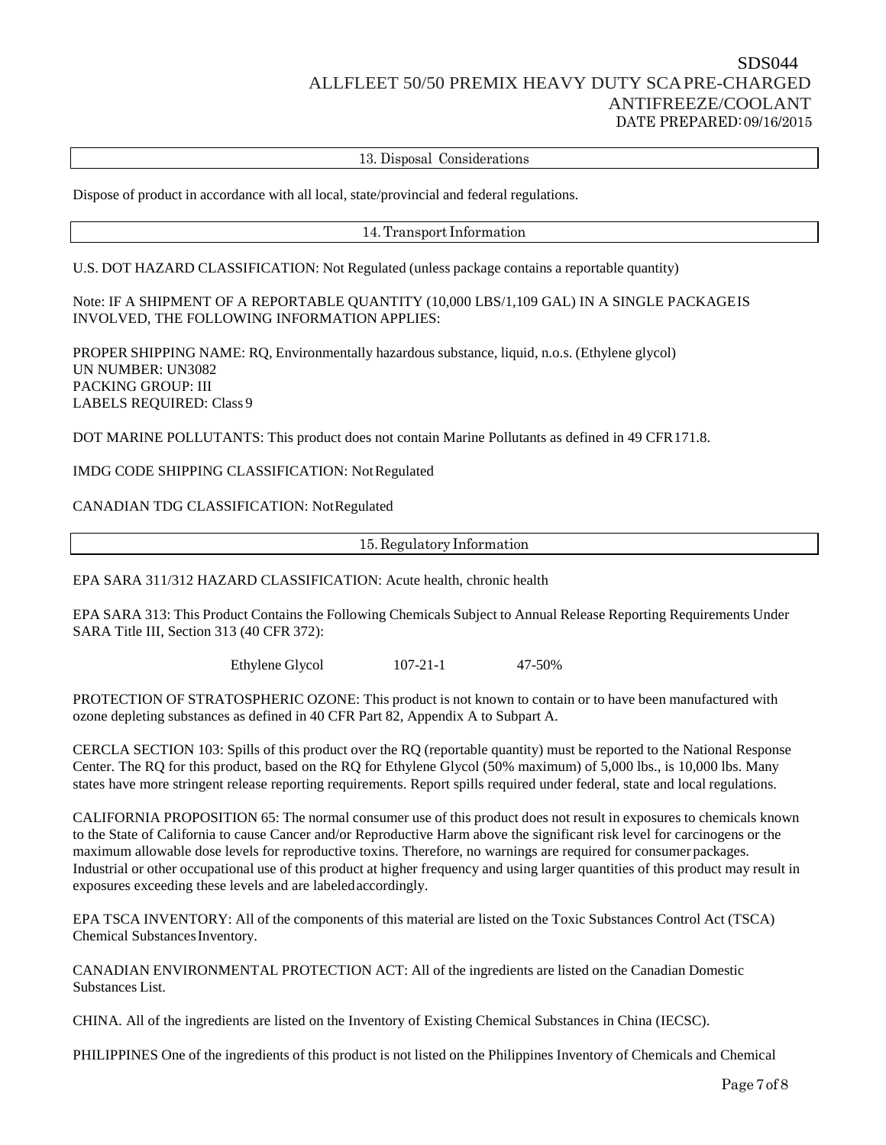13. Disposal Considerations

Dispose of product in accordance with all local, state/provincial and federal regulations.

### 14.Transport Information

U.S. DOT HAZARD CLASSIFICATION: Not Regulated (unless package contains a reportable quantity)

Note: IF A SHIPMENT OF A REPORTABLE QUANTITY (10,000 LBS/1,109 GAL) IN A SINGLE PACKAGEIS INVOLVED, THE FOLLOWING INFORMATION APPLIES:

PROPER SHIPPING NAME: RQ, Environmentally hazardous substance, liquid, n.o.s. (Ethylene glycol) UN NUMBER: UN3082 PACKING GROUP: III LABELS REQUIRED: Class 9

DOT MARINE POLLUTANTS: This product does not contain Marine Pollutants as defined in 49 CFR171.8.

IMDG CODE SHIPPING CLASSIFICATION: NotRegulated

### CANADIAN TDG CLASSIFICATION: NotRegulated

15. Regulatory Information

EPA SARA 311/312 HAZARD CLASSIFICATION: Acute health, chronic health

EPA SARA 313: This Product Contains the Following Chemicals Subject to Annual Release Reporting Requirements Under SARA Title III, Section 313 (40 CFR 372):

Ethylene Glycol 107-21-1 47-50%

PROTECTION OF STRATOSPHERIC OZONE: This product is not known to contain or to have been manufactured with ozone depleting substances as defined in 40 CFR Part 82, Appendix A to Subpart A.

CERCLA SECTION 103: Spills of this product over the RQ (reportable quantity) must be reported to the National Response Center. The RQ for this product, based on the RQ for Ethylene Glycol (50% maximum) of 5,000 lbs., is 10,000 lbs. Many states have more stringent release reporting requirements. Report spills required under federal, state and local regulations.

CALIFORNIA PROPOSITION 65: The normal consumer use of this product does not result in exposures to chemicals known to the State of California to cause Cancer and/or Reproductive Harm above the significant risk level for carcinogens or the maximum allowable dose levels for reproductive toxins. Therefore, no warnings are required for consumer packages. Industrial or other occupational use of this product at higher frequency and using larger quantities of this product may result in exposures exceeding these levels and are labeledaccordingly.

EPA TSCA INVENTORY: All of the components of this material are listed on the Toxic Substances Control Act (TSCA) Chemical Substances Inventory.

CANADIAN ENVIRONMENTAL PROTECTION ACT: All of the ingredients are listed on the Canadian Domestic Substances List.

CHINA. All of the ingredients are listed on the Inventory of Existing Chemical Substances in China (IECSC).

PHILIPPINES One of the ingredients of this product is not listed on the Philippines Inventory of Chemicals and Chemical